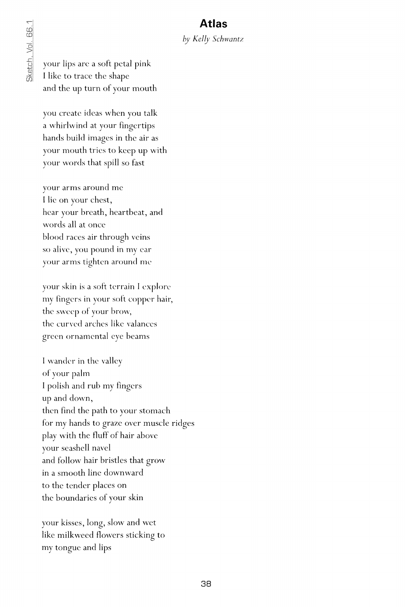## **Atlas**

## *by Kelly Schwantz*

your lips are a soft petal pink I like to trace the shape and the up turn of your mouth

you create ideas when you talk a whirlwind at your fingertips hands build images in the air as your mouth tries to keep up with your words that spill so fast

your arms around me I lie on your chest, hear your breath, heartbeat, and words all at once blood races air through veins so alive, you pound in my ear your arms tighten around me

your skin is a soft terrain I explore my fingers in your soft copper hair, the sweep of your brow, the curved arches like valances green ornamental eye beams

I wander in the valley of your palm I polish and rub my fingers up and down, then find the path to your stomach for my hands to graze over muscle ridges play with the fluff of hair above your seashell navel and follow hair bristles that grow in a smooth line downward to the tender places on the boundaries of your skin

your kisses, long, slow and wet like milkweed flowers sticking to my tongue and lips